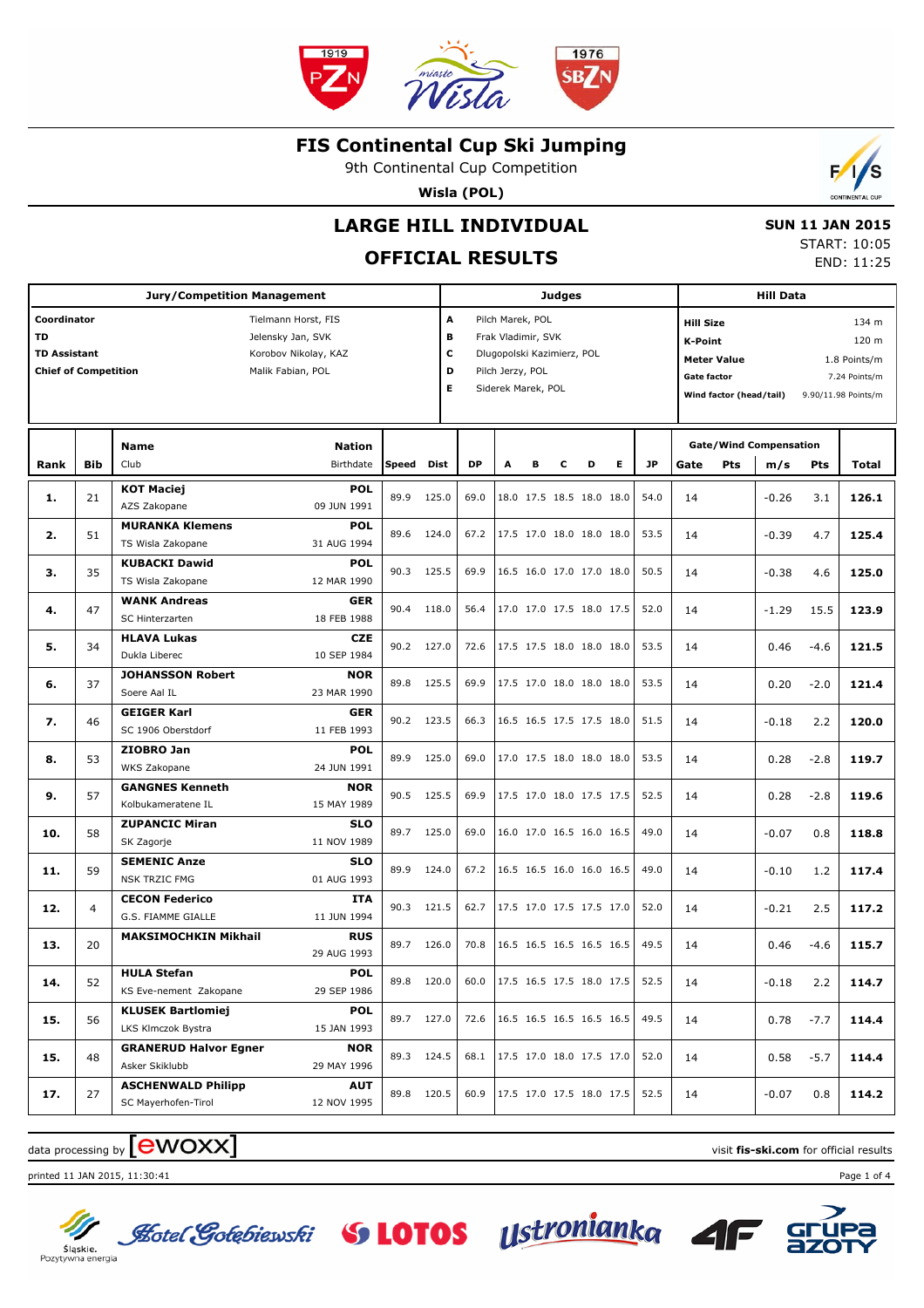

9th Continental Cup Competition

**Wisla (POL)**

## **LARGE HILL INDIVIDUAL**

## **OFFICIAL RESULTS**

 **SUN 11 JAN 2015** START: 10:05 END: 11:25

 $\mathbf{r}$ 

| <b>Jury/Competition Management</b>                                             |            |                                                        |                                                                                       |            |       |                        | Judges |                                                                                                                |   |                                  |    |           |                                                          |                                               | <b>Hill Data</b>                     |            |                                                                        |  |  |
|--------------------------------------------------------------------------------|------------|--------------------------------------------------------|---------------------------------------------------------------------------------------|------------|-------|------------------------|--------|----------------------------------------------------------------------------------------------------------------|---|----------------------------------|----|-----------|----------------------------------------------------------|-----------------------------------------------|--------------------------------------|------------|------------------------------------------------------------------------|--|--|
| Coordinator<br><b>TD</b><br><b>TD Assistant</b><br><b>Chief of Competition</b> |            |                                                        | Tielmann Horst, FIS<br>Jelensky Jan, SVK<br>Korobov Nikolay, KAZ<br>Malik Fabian, POL |            |       | A<br>в<br>c<br>D<br>E. |        | Pilch Marek, POL<br>Frak Vladimir, SVK<br>Dlugopolski Kazimierz, POL<br>Pilch Jerzy, POL<br>Siderek Marek, POL |   |                                  |    |           | <b>Hill Size</b><br><b>K-Point</b><br><b>Gate factor</b> | <b>Meter Value</b><br>Wind factor (head/tail) |                                      |            | 134 m<br>120 m<br>1.8 Points/m<br>7.24 Points/m<br>9.90/11.98 Points/m |  |  |
| Rank                                                                           | <b>Bib</b> | <b>Name</b><br>Club                                    | <b>Nation</b><br>Birthdate                                                            | Speed      | Dist  | <b>DP</b>              | A      |                                                                                                                | с | D                                | E. | <b>JP</b> | Gate                                                     | Pts                                           | <b>Gate/Wind Compensation</b><br>m/s | <b>Pts</b> | Total                                                                  |  |  |
| 1.                                                                             | 21         | <b>KOT Maciej</b><br>AZS Zakopane                      | <b>POL</b><br>09 JUN 1991                                                             | 89.9       | 125.0 | 69.0                   |        |                                                                                                                |   | 18.0 17.5 18.5 18.0 18.0         |    | 54.0      | 14                                                       |                                               | $-0.26$                              | 3.1        | 126.1                                                                  |  |  |
| 2.                                                                             | 51         | <b>MURANKA Klemens</b><br>TS Wisla Zakopane            | <b>POL</b><br>31 AUG 1994                                                             | 89.6       | 124.0 | 67.2                   |        |                                                                                                                |   | 17.5 17.0 18.0 18.0 18.0         |    | 53.5      | 14                                                       |                                               | $-0.39$                              | 4.7        | 125.4                                                                  |  |  |
| з.                                                                             | 35         | <b>KUBACKI Dawid</b><br>TS Wisla Zakopane              | <b>POL</b><br>12 MAR 1990                                                             | 90.3       | 125.5 | 69.9                   |        |                                                                                                                |   | 16.5 16.0 17.0 17.0 18.0         |    | 50.5      | 14                                                       |                                               | $-0.38$                              | 4.6        | 125.0                                                                  |  |  |
| 4.                                                                             | 47         | <b>WANK Andreas</b><br>SC Hinterzarten                 | <b>GER</b><br>18 FEB 1988                                                             | 90.4       | 118.0 | 56.4                   |        |                                                                                                                |   | 17.0 17.0 17.5 18.0 17.5         |    | 52.0      | 14                                                       |                                               | $-1.29$                              | 15.5       | 123.9                                                                  |  |  |
| 5.                                                                             | 34         | <b>HLAVA Lukas</b><br>Dukla Liberec                    | <b>CZE</b><br>10 SEP 1984                                                             | 90.2       | 127.0 | 72.6                   |        |                                                                                                                |   | 17.5 17.5 18.0 18.0 18.0         |    | 53.5      | 14                                                       |                                               | 0.46                                 | $-4.6$     | 121.5                                                                  |  |  |
| 6.                                                                             | 37         | <b>JOHANSSON Robert</b><br>Soere Aal IL                | <b>NOR</b><br>23 MAR 1990                                                             | 89.8       | 125.5 | 69.9                   |        |                                                                                                                |   | 17.5 17.0 18.0 18.0 18.0         |    | 53.5      | 14                                                       |                                               | 0.20                                 | $-2.0$     | 121.4                                                                  |  |  |
| 7.                                                                             | 46         | <b>GEIGER Karl</b><br>SC 1906 Oberstdorf<br>ZIOBRO Jan | <b>GER</b><br>11 FEB 1993<br><b>POL</b>                                               | 90.2 123.5 |       | 66.3                   |        |                                                                                                                |   | 16.5 16.5 17.5 17.5 18.0         |    | 51.5      | 14                                                       |                                               | $-0.18$                              | 2.2        | 120.0                                                                  |  |  |
| 8.                                                                             | 53         | WKS Zakopane<br><b>GANGNES Kenneth</b>                 | 24 JUN 1991<br><b>NOR</b>                                                             | 89.9       | 125.0 | 69.0                   |        |                                                                                                                |   | 17.0 17.5 18.0 18.0 18.0         |    | 53.5      | 14                                                       |                                               | 0.28                                 | $-2.8$     | 119.7                                                                  |  |  |
| 9.                                                                             | 57         | Kolbukameratene IL<br><b>ZUPANCIC Miran</b>            | 15 MAY 1989<br><b>SLO</b>                                                             | 90.5       | 125.5 | 69.9                   |        |                                                                                                                |   | 17.5 17.0 18.0 17.5 17.5         |    | 52.5      | 14                                                       |                                               | 0.28                                 | $-2.8$     | 119.6                                                                  |  |  |
| 10.                                                                            | 58         | SK Zagorje<br><b>SEMENIC Anze</b>                      | 11 NOV 1989<br><b>SLO</b>                                                             | 89.7       | 125.0 | 69.0                   |        |                                                                                                                |   | 16.0 17.0 16.5 16.0 16.5         |    | 49.0      | 14                                                       |                                               | $-0.07$                              | 0.8        | 118.8                                                                  |  |  |
| 11.                                                                            | 59         | <b>NSK TRZIC FMG</b><br><b>CECON Federico</b>          | 01 AUG 1993<br><b>ITA</b>                                                             | 89.9       | 124.0 | 67.2                   |        |                                                                                                                |   | 16.5 16.5 16.0 16.0 16.5         |    | 49.0      | 14                                                       |                                               | $-0.10$                              | 1.2        | 117.4                                                                  |  |  |
| 12.                                                                            | 4          | G.S. FIAMME GIALLE<br><b>MAKSIMOCHKIN Mikhail</b>      | 11 JUN 1994<br><b>RUS</b>                                                             | 90.3       | 121.5 | 62.7                   |        |                                                                                                                |   | 17.5 17.0 17.5 17.5 17.0         |    | 52.0      | 14                                                       |                                               | $-0.21$                              | 2.5        | 117.2                                                                  |  |  |
| 13.                                                                            | 20         | <b>HULA Stefan</b>                                     | 29 AUG 1993<br><b>POL</b>                                                             | 89.7       | 126.0 | 70.8                   |        |                                                                                                                |   | 16.5 16.5 16.5 16.5 16.5         |    | 49.5      | 14                                                       |                                               | 0.46                                 | $-4.6$     | 115.7                                                                  |  |  |
| 14.                                                                            | 52         | KS Eve-nement Zakopane<br><b>KLUSEK Bartlomiej</b>     | 29 SEP 1986<br><b>POL</b>                                                             | 89.8 120.0 |       | 60.0                   |        |                                                                                                                |   | $\vert$ 17.5 16.5 17.5 18.0 17.5 |    | 52.5      | 14                                                       |                                               | $-0.18$                              | 2.2        | 114.7                                                                  |  |  |
| 15.                                                                            | 56         | LKS Klmczok Bystra<br><b>GRANERUD Halvor Egner</b>     | 15 JAN 1993<br><b>NOR</b>                                                             | 89.7 127.0 |       | 72.6                   |        |                                                                                                                |   | 16.5 16.5 16.5 16.5 16.5         |    | 49.5      | 14                                                       |                                               | 0.78                                 | $-7.7$     | 114.4                                                                  |  |  |
| 15.                                                                            | 48         | Asker Skiklubb<br><b>ASCHENWALD Philipp</b>            | 29 MAY 1996<br><b>AUT</b>                                                             | 89.3 124.5 |       | 68.1                   |        |                                                                                                                |   | 17.5 17.0 18.0 17.5 17.0         |    | 52.0      | 14                                                       |                                               | 0.58                                 | $-5.7$     | 114.4                                                                  |  |  |
| 17.                                                                            | 27         | SC Mayerhofen-Tirol                                    | 12 NOV 1995                                                                           | 89.8 120.5 |       | 60.9                   |        |                                                                                                                |   | 17.5 17.0 17.5 18.0 17.5         |    | 52.5      | 14                                                       |                                               | $-0.07$                              | 0.8        | 114.2                                                                  |  |  |

## data processing by **CWOXX** and  $\blacksquare$  and  $\blacksquare$  and  $\blacksquare$  and  $\blacksquare$  and  $\blacksquare$  and  $\blacksquare$  and  $\blacksquare$  and  $\blacksquare$  and  $\blacksquare$  and  $\blacksquare$  and  $\blacksquare$  and  $\blacksquare$  and  $\blacksquare$  and  $\blacksquare$  and  $\blacksquare$  and  $\blacksquare$  and  $\blacksquare$  and  $\blacks$

printed 11 JAN 2015, 11:30:41 Page 1 of 4



Slaskie.<br>Pozytywna energia

**Lotel Gotebiewski** S **LOTOS** Ustronianka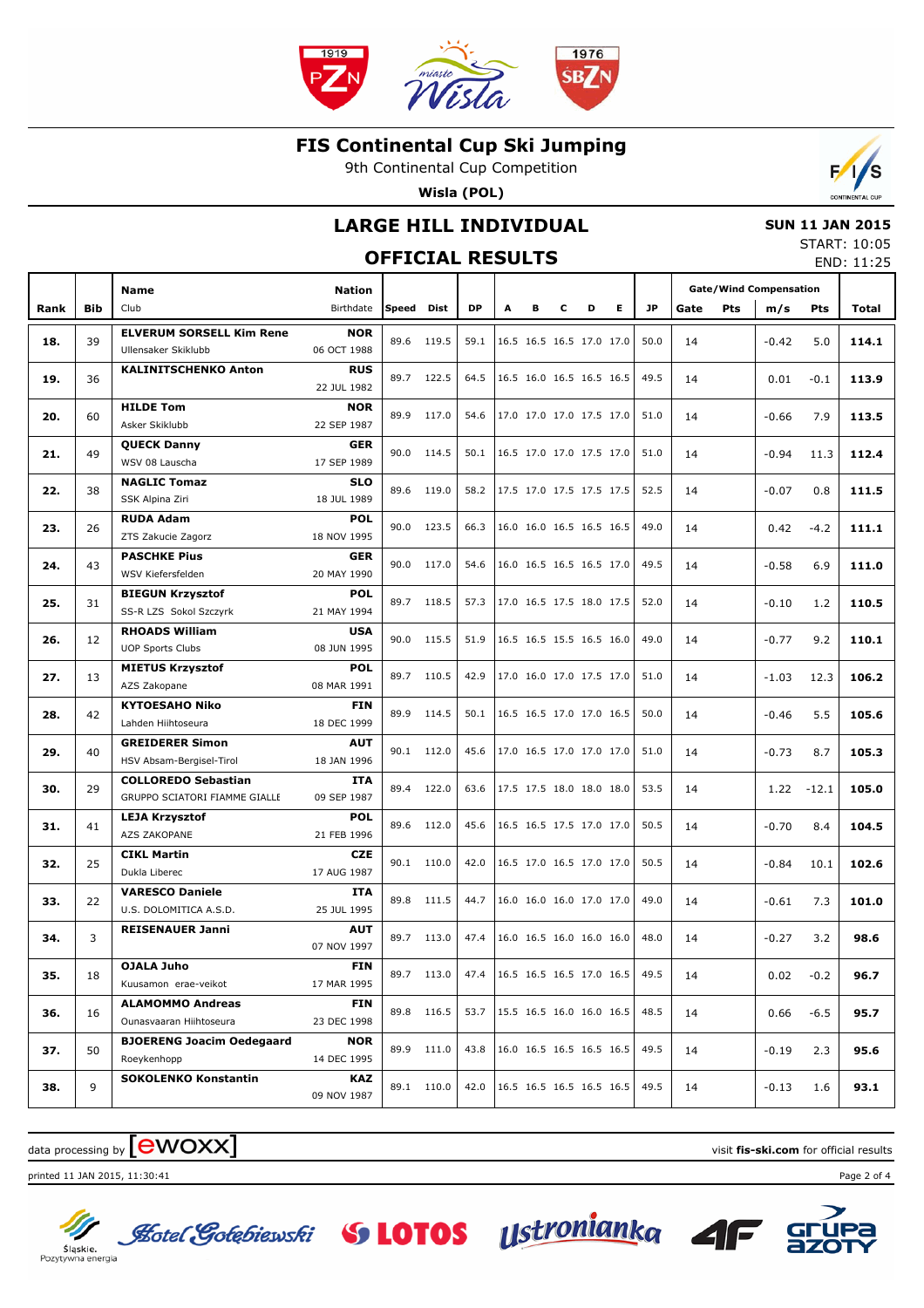

9th Continental Cup Competition

**Wisla (POL)**



## **LARGE HILL INDIVIDUAL**

#### **SUN 11 JAN 2015** START: 10:05

|      |     |                                                             |                           | <b>OFFICIAL RESULTS</b> |            |                                 |   |   |   |                          |    |           |      |            |                               |         | JIMNI . 10.0J<br>END: 11:25 |
|------|-----|-------------------------------------------------------------|---------------------------|-------------------------|------------|---------------------------------|---|---|---|--------------------------|----|-----------|------|------------|-------------------------------|---------|-----------------------------|
|      |     | <b>Name</b>                                                 | <b>Nation</b>             |                         |            |                                 |   |   |   |                          |    |           |      |            | <b>Gate/Wind Compensation</b> |         |                             |
| Rank | Bib | Club                                                        | Birthdate                 | Speed                   | Dist       | DP                              | A | в | c | D                        | E. | <b>JP</b> | Gate | <b>Pts</b> | m/s                           | Pts     | Total                       |
| 18.  | 39  | <b>ELVERUM SORSELL Kim Rene</b><br>Ullensaker Skiklubb      | <b>NOR</b><br>06 OCT 1988 | 89.6                    | 119.5      | 59.1                            |   |   |   | 16.5 16.5 16.5 17.0 17.0 |    | 50.0      | 14   |            | $-0.42$                       | 5.0     | 114.1                       |
| 19.  | 36  | <b>KALINITSCHENKO Anton</b>                                 | <b>RUS</b><br>22 JUL 1982 |                         | 89.7 122.5 | 64.5                            |   |   |   | 16.5 16.0 16.5 16.5 16.5 |    | 49.5      | 14   |            | 0.01                          | $-0.1$  | 113.9                       |
| 20.  | 60  | <b>HILDE Tom</b><br>Asker Skiklubb                          | <b>NOR</b><br>22 SEP 1987 | 89.9                    | 117.0      | 54.6                            |   |   |   | 17.0 17.0 17.0 17.5 17.0 |    | 51.0      | 14   |            | $-0.66$                       | 7.9     | 113.5                       |
| 21.  | 49  | <b>QUECK Danny</b><br>WSV 08 Lauscha                        | GER<br>17 SEP 1989        | 90.0                    | 114.5      | 50.1                            |   |   |   | 16.5 17.0 17.0 17.5 17.0 |    | 51.0      | 14   |            | $-0.94$                       | 11.3    | 112.4                       |
| 22.  | 38  | <b>NAGLIC Tomaz</b><br>SSK Alpina Ziri                      | <b>SLO</b><br>18 JUL 1989 | 89.6                    | 119.0      | 58.2                            |   |   |   | 17.5 17.0 17.5 17.5 17.5 |    | 52.5      | 14   |            | $-0.07$                       | 0.8     | 111.5                       |
| 23.  | 26  | <b>RUDA Adam</b><br>ZTS Zakucie Zagorz                      | <b>POL</b><br>18 NOV 1995 | 90.0                    | 123.5      | 66.3                            |   |   |   | 16.0 16.0 16.5 16.5 16.5 |    | 49.0      | 14   |            | 0.42                          | $-4.2$  | 111.1                       |
| 24.  | 43  | <b>PASCHKE Pius</b><br>WSV Kiefersfelden                    | GER<br>20 MAY 1990        | 90.0                    | 117.0      | 54.6                            |   |   |   | 16.0 16.5 16.5 16.5 17.0 |    | 49.5      | 14   |            | $-0.58$                       | 6.9     | 111.0                       |
| 25.  | 31  | <b>BIEGUN Krzysztof</b><br>SS-R LZS Sokol Szczyrk           | <b>POL</b><br>21 MAY 1994 | 89.7                    | 118.5      | 57.3                            |   |   |   | 17.0 16.5 17.5 18.0 17.5 |    | 52.0      | 14   |            | $-0.10$                       | 1.2     | 110.5                       |
| 26.  | 12  | <b>RHOADS William</b><br><b>UOP Sports Clubs</b>            | <b>USA</b><br>08 JUN 1995 | 90.0                    | 115.5      | 51.9                            |   |   |   | 16.5 16.5 15.5 16.5 16.0 |    | 49.0      | 14   |            | $-0.77$                       | 9.2     | 110.1                       |
| 27.  | 13  | <b>MIETUS Krzysztof</b><br>AZS Zakopane                     | <b>POL</b><br>08 MAR 1991 | 89.7                    | 110.5      | 42.9                            |   |   |   | 17.0 16.0 17.0 17.5 17.0 |    | 51.0      | 14   |            | $-1.03$                       | 12.3    | 106.2                       |
| 28.  | 42  | <b>KYTOESAHO Niko</b><br>Lahden Hiihtoseura                 | <b>FIN</b><br>18 DEC 1999 | 89.9                    | 114.5      | 50.1                            |   |   |   | 16.5 16.5 17.0 17.0 16.5 |    | 50.0      | 14   |            | $-0.46$                       | 5.5     | 105.6                       |
| 29.  | 40  | <b>GREIDERER Simon</b><br>HSV Absam-Bergisel-Tirol          | <b>AUT</b><br>18 JAN 1996 | 90.1                    | 112.0      | 45.6                            |   |   |   | 17.0 16.5 17.0 17.0 17.0 |    | 51.0      | 14   |            | $-0.73$                       | 8.7     | 105.3                       |
| 30.  | 29  | <b>COLLOREDO Sebastian</b><br>GRUPPO SCIATORI FIAMME GIALLE | <b>ITA</b><br>09 SEP 1987 | 89.4                    | 122.0      | 63.6                            |   |   |   | 17.5 17.5 18.0 18.0 18.0 |    | 53.5      | 14   |            | 1.22                          | $-12.1$ | 105.0                       |
| 31.  | 41  | <b>LEJA Krzysztof</b><br>AZS ZAKOPANE                       | <b>POL</b><br>21 FEB 1996 | 89.6                    | 112.0      | 45.6                            |   |   |   | 16.5 16.5 17.5 17.0 17.0 |    | 50.5      | 14   |            | $-0.70$                       | 8.4     | 104.5                       |
| 32.  | 25  | <b>CIKL Martin</b><br>Dukla Liberec                         | <b>CZE</b><br>17 AUG 1987 | 90.1                    | 110.0      | 42.0                            |   |   |   | 16.5 17.0 16.5 17.0 17.0 |    | 50.5      | 14   |            | $-0.84$                       | 10.1    | 102.6                       |
| 33.  | 22  | <b>VARESCO Daniele</b><br>U.S. DOLOMITICA A.S.D.            | ITA<br>25 JUL 1995        | 89.8                    | 111.5      | 44.7                            |   |   |   | 16.0 16.0 16.0 17.0 17.0 |    | 49.0      | 14   |            | $-0.61$                       | 7.3     | 101.0                       |
| 34.  | 3   | <b>REISENAUER Janni</b>                                     | <b>AUT</b><br>07 NOV 1997 |                         | 89.7 113.0 | 47.4   16.0 16.5 16.0 16.0 16.0 |   |   |   |                          |    | 48.0      | 14   |            | $-0.27$                       | 3.2     | 98.6                        |
| 35.  | 18  | OJALA Juho<br>Kuusamon erae-veikot                          | <b>FIN</b><br>17 MAR 1995 |                         | 89.7 113.0 | 47.4                            |   |   |   | 16.5 16.5 16.5 17.0 16.5 |    | 49.5      | 14   |            | 0.02                          | $-0.2$  | 96.7                        |
| 36.  | 16  | <b>ALAMOMMO Andreas</b><br>Ounasvaaran Hiihtoseura          | <b>FIN</b><br>23 DEC 1998 | 89.8                    | 116.5      | 53.7                            |   |   |   | 15.5 16.5 16.0 16.0 16.5 |    | 48.5      | 14   |            | 0.66                          | $-6.5$  | 95.7                        |
| 37.  | 50  | <b>BJOERENG Joacim Oedegaard</b><br>Roeykenhopp             | <b>NOR</b><br>14 DEC 1995 | 89.9                    | 111.0      | 43.8                            |   |   |   | 16.0 16.5 16.5 16.5 16.5 |    | 49.5      | 14   |            | $-0.19$                       | 2.3     | 95.6                        |
| 38.  | 9   | <b>SOKOLENKO Konstantin</b>                                 | KAZ<br>09 NOV 1987        |                         | 89.1 110.0 | 42.0                            |   |   |   | 16.5 16.5 16.5 16.5 16.5 |    | 49.5      | 14   |            | $-0.13$                       | 1.6     | 93.1                        |

# data processing by **CWOXX** and  $\overline{C}$  and  $\overline{C}$  and  $\overline{C}$  and  $\overline{C}$  and  $\overline{C}$  and  $\overline{C}$  and  $\overline{C}$  and  $\overline{C}$  and  $\overline{C}$  and  $\overline{C}$  and  $\overline{C}$  and  $\overline{C}$  and  $\overline{C}$  and  $\overline{C}$  and  $\overline{C}$

printed 11 JAN 2015, 11:30:41 Page 2 of 4



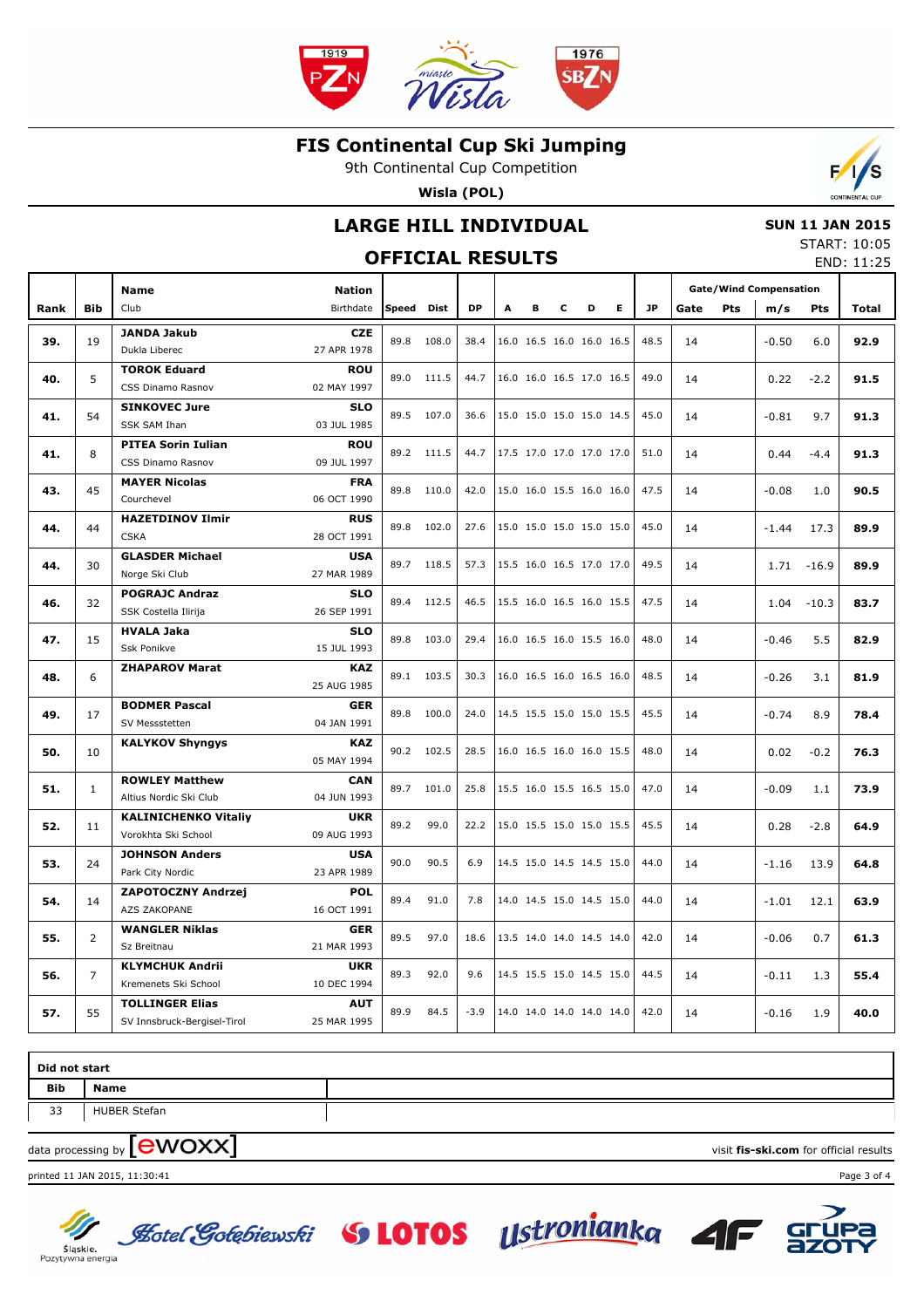

9th Continental Cup Competition

**Wisla (POL)**



## **LARGE HILL INDIVIDUAL OFFICIAL RESULTS**

#### **SUN 11 JAN 2015** START: 10:05

END: 11:25

|      |                | <b>Name</b>                                        | <b>Nation</b>             |              |             |        |   |   |   |                          |   |           |      |     | <b>Gate/Wind Compensation</b> |         |              |
|------|----------------|----------------------------------------------------|---------------------------|--------------|-------------|--------|---|---|---|--------------------------|---|-----------|------|-----|-------------------------------|---------|--------------|
| Rank | <b>Bib</b>     | Club                                               | Birthdate                 | <b>Speed</b> | <b>Dist</b> | DP     | A | в | c | D                        | Е | <b>JP</b> | Gate | Pts | m/s                           | Pts     | <b>Total</b> |
|      |                | <b>JANDA Jakub</b>                                 | <b>CZE</b>                |              |             |        |   |   |   |                          |   |           |      |     |                               |         |              |
| 39.  | 19             | Dukla Liberec                                      | 27 APR 1978               | 89.8         | 108.0       | 38.4   |   |   |   | 16.0 16.5 16.0 16.0 16.5 |   | 48.5      | 14   |     | $-0.50$                       | 6.0     | 92.9         |
| 40.  | 5              | <b>TOROK Eduard</b>                                | <b>ROU</b>                | 89.0         | 111.5       | 44.7   |   |   |   | 16.0 16.0 16.5 17.0 16.5 |   | 49.0      | 14   |     | 0.22                          | $-2.2$  | 91.5         |
|      |                | CSS Dinamo Rasnov                                  | 02 MAY 1997               |              |             |        |   |   |   |                          |   |           |      |     |                               |         |              |
| 41.  | 54             | <b>SINKOVEC Jure</b>                               | <b>SLO</b>                | 89.5         | 107.0       | 36.6   |   |   |   | 15.0 15.0 15.0 15.0 14.5 |   | 45.0      | 14   |     | $-0.81$                       | 9.7     | 91.3         |
|      |                | SSK SAM Ihan                                       | 03 JUL 1985               |              |             |        |   |   |   |                          |   |           |      |     |                               |         |              |
| 41.  | 8              | <b>PITEA Sorin Iulian</b>                          | <b>ROU</b>                | 89.2         | 111.5       | 44.7   |   |   |   | 17.5 17.0 17.0 17.0 17.0 |   | 51.0      | 14   |     | 0.44                          | $-4.4$  | 91.3         |
|      |                | CSS Dinamo Rasnov                                  | 09 JUL 1997               |              |             |        |   |   |   |                          |   |           |      |     |                               |         |              |
| 43.  | 45             | <b>MAYER Nicolas</b>                               | <b>FRA</b>                | 89.8         | 110.0       | 42.0   |   |   |   | 15.0 16.0 15.5 16.0 16.0 |   | 47.5      | 14   |     | $-0.08$                       | 1.0     | 90.5         |
|      |                | Courchevel<br><b>HAZETDINOV Ilmir</b>              | 06 OCT 1990               |              |             |        |   |   |   |                          |   |           |      |     |                               |         |              |
| 44.  | 44             | <b>CSKA</b>                                        | <b>RUS</b><br>28 OCT 1991 | 89.8         | 102.0       | 27.6   |   |   |   | 15.0 15.0 15.0 15.0 15.0 |   | 45.0      | 14   |     | $-1.44$                       | 17.3    | 89.9         |
|      |                | <b>GLASDER Michael</b>                             | <b>USA</b>                |              |             |        |   |   |   |                          |   |           |      |     |                               |         |              |
| 44.  | 30             | Norge Ski Club                                     | 27 MAR 1989               | 89.7         | 118.5       | 57.3   |   |   |   | 15.5 16.0 16.5 17.0 17.0 |   | 49.5      | 14   |     | 1.71                          | $-16.9$ | 89.9         |
|      |                | <b>POGRAJC Andraz</b>                              | <b>SLO</b>                |              |             |        |   |   |   |                          |   |           |      |     |                               |         |              |
| 46.  | 32             | SSK Costella Ilirija                               | 26 SEP 1991               | 89.4         | 112.5       | 46.5   |   |   |   | 15.5 16.0 16.5 16.0 15.5 |   | 47.5      | 14   |     | 1.04                          | $-10.3$ | 83.7         |
|      |                | <b>HVALA Jaka</b>                                  | <b>SLO</b>                |              |             |        |   |   |   |                          |   |           |      |     |                               |         |              |
| 47.  | 15             | Ssk Ponikve                                        | 15 JUL 1993               | 89.8         | 103.0       | 29.4   |   |   |   | 16.0 16.5 16.0 15.5 16.0 |   | 48.0      | 14   |     | $-0.46$                       | 5.5     | 82.9         |
|      | 6              | <b>ZHAPAROV Marat</b>                              | <b>KAZ</b>                | 89.1         | 103.5       | 30.3   |   |   |   | 16.0 16.5 16.0 16.5 16.0 |   | 48.5      |      |     |                               |         |              |
| 48.  |                |                                                    | 25 AUG 1985               |              |             |        |   |   |   |                          |   |           | 14   |     | $-0.26$                       | 3.1     | 81.9         |
| 49.  | 17             | <b>BODMER Pascal</b>                               | <b>GER</b>                | 89.8         | 100.0       | 24.0   |   |   |   | 14.5 15.5 15.0 15.0 15.5 |   | 45.5      | 14   |     | $-0.74$                       | 8.9     | 78.4         |
|      |                | SV Messstetten                                     | 04 JAN 1991               |              |             |        |   |   |   |                          |   |           |      |     |                               |         |              |
| 50.  | 10             | <b>KALYKOV Shyngys</b>                             | <b>KAZ</b>                | 90.2         | 102.5       | 28.5   |   |   |   | 16.0 16.5 16.0 16.0 15.5 |   | 48.0      | 14   |     | 0.02                          | $-0.2$  | 76.3         |
|      |                |                                                    | 05 MAY 1994               |              |             |        |   |   |   |                          |   |           |      |     |                               |         |              |
| 51.  | $\mathbf{1}$   | <b>ROWLEY Matthew</b>                              | CAN                       | 89.7         | 101.0       | 25.8   |   |   |   | 15.5 16.0 15.5 16.5 15.0 |   | 47.0      | 14   |     | $-0.09$                       | 1.1     | 73.9         |
|      |                | Altius Nordic Ski Club                             | 04 JUN 1993               |              |             |        |   |   |   |                          |   |           |      |     |                               |         |              |
| 52.  | 11             | <b>KALINICHENKO Vitaliy</b><br>Vorokhta Ski School | <b>UKR</b><br>09 AUG 1993 | 89.2         | 99.0        | 22.2   |   |   |   | 15.0 15.5 15.0 15.0 15.5 |   | 45.5      | 14   |     | 0.28                          | $-2.8$  | 64.9         |
|      |                | <b>JOHNSON Anders</b>                              | <b>USA</b>                |              |             |        |   |   |   |                          |   |           |      |     |                               |         |              |
| 53.  | 24             | Park City Nordic                                   | 23 APR 1989               | 90.0         | 90.5        | 6.9    |   |   |   | 14.5 15.0 14.5 14.5 15.0 |   | 44.0      | 14   |     | $-1.16$                       | 13.9    | 64.8         |
|      |                | <b>ZAPOTOCZNY Andrzej</b>                          | <b>POL</b>                |              |             |        |   |   |   |                          |   |           |      |     |                               |         |              |
| 54.  | 14             | <b>AZS ZAKOPANE</b>                                | 16 OCT 1991               | 89.4         | 91.0        | 7.8    |   |   |   | 14.0 14.5 15.0 14.5 15.0 |   | 44.0      | 14   |     | $-1.01$                       | 12.1    | 63.9         |
|      |                | <b>WANGLER Niklas</b>                              | <b>GER</b>                |              |             |        |   |   |   |                          |   |           |      |     |                               |         |              |
| 55.  | 2              | Sz Breitnau                                        | 21 MAR 1993               | 89.5         | 97.0        | 18.6   |   |   |   | 13.5 14.0 14.0 14.5 14.0 |   | 42.0      | 14   |     | $-0.06$                       | 0.7     | 61.3         |
|      |                | <b>KLYMCHUK Andrii</b>                             | <b>UKR</b>                |              |             |        |   |   |   |                          |   |           |      |     |                               |         |              |
| 56.  | $\overline{7}$ | Kremenets Ski School                               | 10 DEC 1994               | 89.3         | 92.0        | 9.6    |   |   |   | 14.5 15.5 15.0 14.5 15.0 |   | 44.5      | 14   |     | $-0.11$                       | 1.3     | 55.4         |
|      | 55             | <b>TOLLINGER Elias</b>                             | <b>AUT</b>                | 89.9         | 84.5        | $-3.9$ |   |   |   | 14.0 14.0 14.0 14.0 14.0 |   | 42.0      | 14   |     | $-0.16$                       | 1.9     | 40.0         |
| 57.  |                | SV Innsbruck-Bergisel-Tirol                        | 25 MAR 1995               |              |             |        |   |   |   |                          |   |           |      |     |                               |         |              |

| Did not start |                               |  |
|---------------|-------------------------------|--|
| Bib           | Name                          |  |
| 33            | <b>HUBER Stefan</b>           |  |
|               | $\overline{\phantom{0}}$<br>– |  |

 $\alpha$  data processing by  $\boxed{\text{ewOX}}$ 

printed 11 JAN 2015, 11:30:41 Page 3 of 4

Sląskie.<br>Pozytywna energia